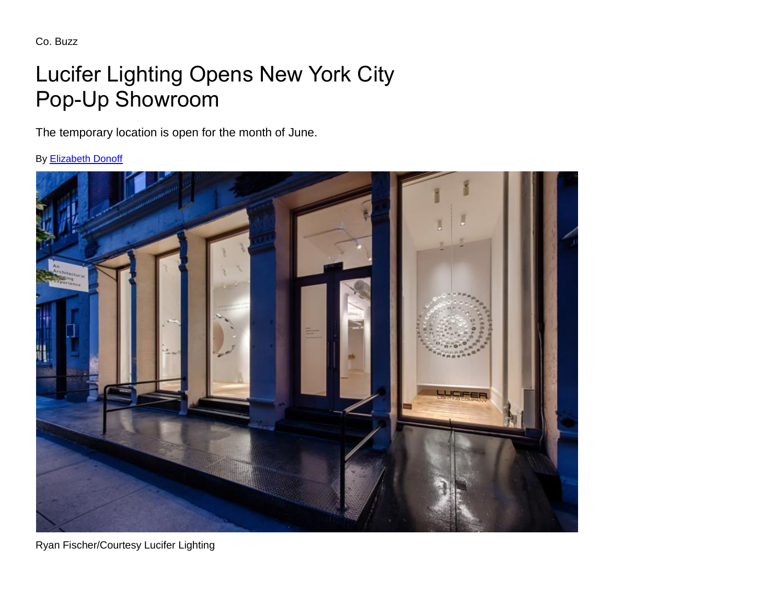Co. Buzz

## Lucifer Lighting Opens New York City Pop-Up Showroom

The temporary location is open for the month of June.

By [Elizabeth Donoff](http://www.archlighting.com/author/elizabeth-donoff)



Ryan Fischer/Courtesy Lucifer Lighting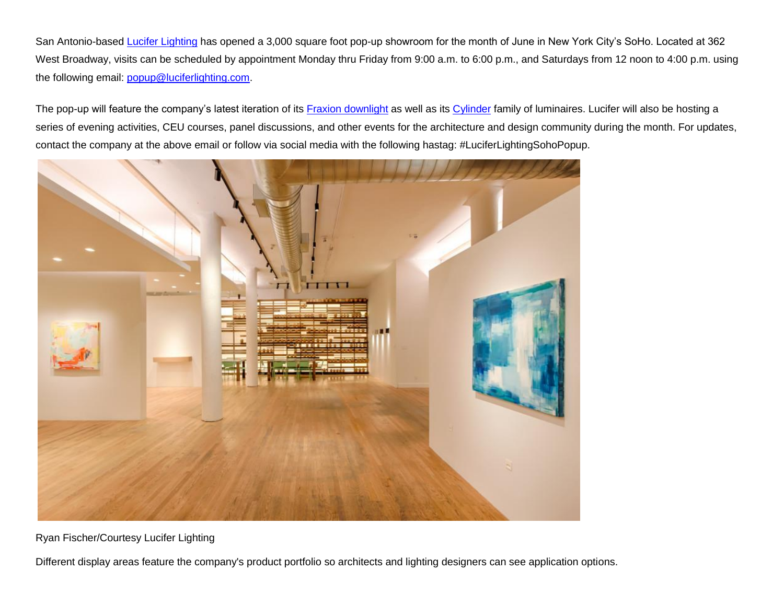San Antonio-based [Lucifer Lighting](http://www.luciferlighting.com/) has opened a 3,000 square foot pop-up showroom for the month of June in New York City's SoHo. Located at 362 West Broadway, visits can be scheduled by appointment Monday thru Friday from 9:00 a.m. to 6:00 p.m., and Saturdays from 12 noon to 4:00 p.m. using the following email: [popup@luciferlighting.com.](mailto:popup@luciferlighting.com)

The pop-up will feature the company's latest iteration of its [Fraxion downlight](http://www.archlighting.com/products/downlights/2017-product-issue-downlights_o) as well as its [Cylinder](http://www.luciferlighting.com/Products/Surface-Mount/SQ2-AD) family of luminaires. Lucifer will also be hosting a series of evening activities, CEU courses, panel discussions, and other events for the architecture and design community during the month. For updates, contact the company at the above email or follow via social media with the following hastag: #LuciferLightingSohoPopup.



Ryan Fischer/Courtesy Lucifer Lighting

Different display areas feature the company's product portfolio so architects and lighting designers can see application options.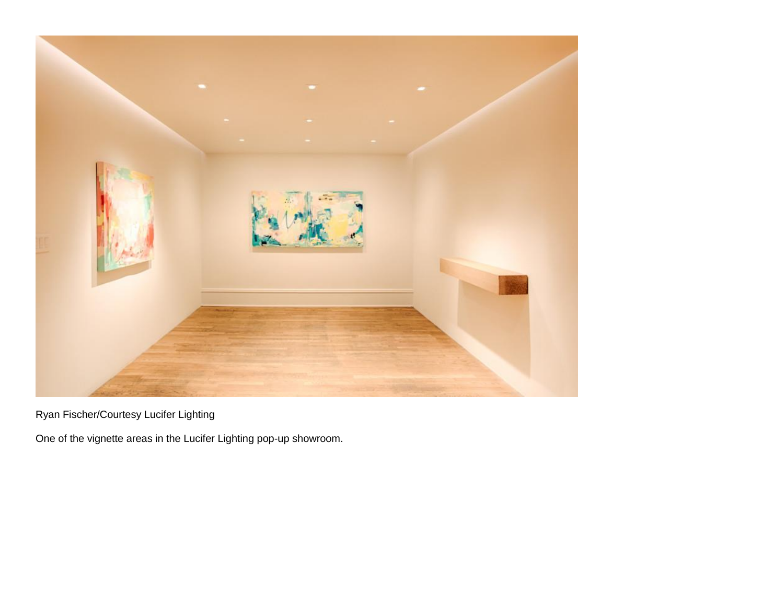

Ryan Fischer/Courtesy Lucifer Lighting

One of the vignette areas in the Lucifer Lighting pop-up showroom.